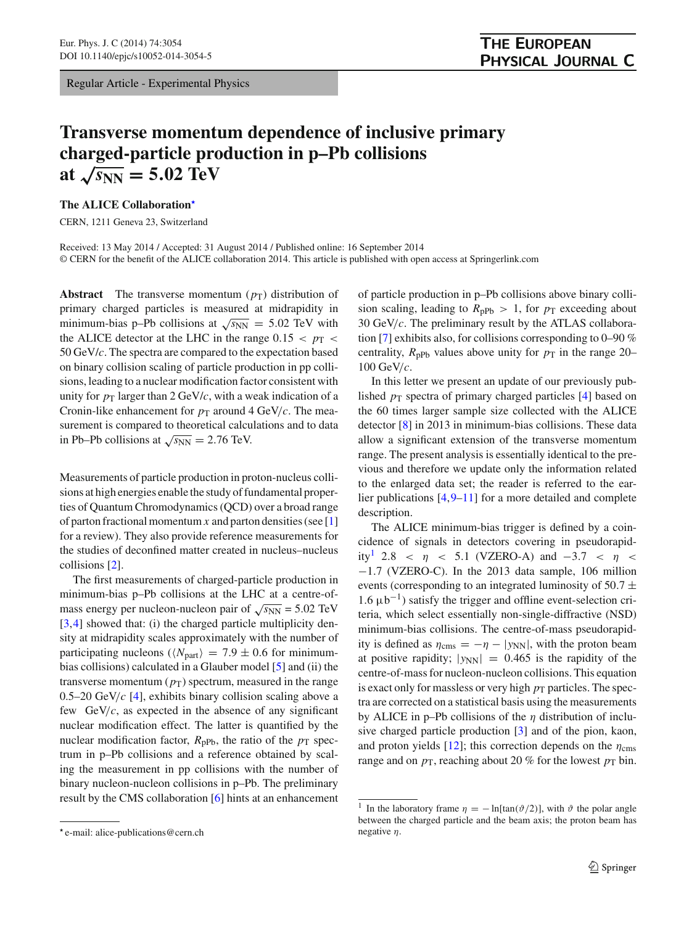Regular Article - Experimental Physics

## **Transverse momentum dependence of inclusive primary charged-particle production in p–Pb collisions** at  $\sqrt{s_{NN}} = 5.02 \text{ TeV}$

**The ALICE Collaboration**[-](#page-0-0)

CERN, 1211 Geneva 23, Switzerland

Received: 13 May 2014 / Accepted: 31 August 2014 / Published online: 16 September 2014 © CERN for the benefit of the ALICE collaboration 2014. This article is published with open access at Springerlink.com

**Abstract** The transverse momentum  $(p_T)$  distribution of primary charged particles is measured at midrapidity in minimum-bias p–Pb collisions at  $\sqrt{s_{NN}} = 5.02$  TeV with the ALICE detector at the LHC in the range  $0.15 < p_T <$ 50 GeV/*c*. The spectra are compared to the expectation based on binary collision scaling of particle production in pp collisions, leading to a nuclear modification factor consistent with unity for  $p_T$  larger than 2 GeV/*c*, with a weak indication of a Cronin-like enhancement for  $p_T$  around 4 GeV/*c*. The measurement is compared to theoretical calculations and to data in Pb–Pb collisions at  $\sqrt{s_{NN}} = 2.76$  TeV.

Measurements of particle production in proton-nucleus collisions at high energies enable the study of fundamental properties of Quantum Chromodynamics (QCD) over a broad range of parton fractional momentum *x* and parton densities (see [\[1\]](#page-3-0) for a review). They also provide reference measurements for the studies of deconfined matter created in nucleus–nucleus collisions [\[2](#page-3-1)].

The first measurements of charged-particle production in minimum-bias p–Pb collisions at the LHC at a centre-ofmass energy per nucleon-nucleon pair of  $\sqrt{s_{NN}}$  = 5.02 TeV [\[3](#page-3-2),[4\]](#page-3-3) showed that: (i) the charged particle multiplicity density at midrapidity scales approximately with the number of participating nucleons ( $\langle N_{\text{part}} \rangle = 7.9 \pm 0.6$  for minimumbias collisions) calculated in a Glauber model [\[5\]](#page-3-4) and (ii) the transverse momentum  $(p_T)$  spectrum, measured in the range 0.5–20 GeV/*c* [\[4\]](#page-3-3), exhibits binary collision scaling above a few GeV/*c*, as expected in the absence of any significant nuclear modification effect. The latter is quantified by the nuclear modification factor,  $R_{\text{pPb}}$ , the ratio of the  $p_{\text{T}}$  spectrum in p–Pb collisions and a reference obtained by scaling the measurement in pp collisions with the number of binary nucleon-nucleon collisions in p–Pb. The preliminary result by the CMS collaboration [\[6](#page-3-5)] hints at an enhancement

of particle production in p–Pb collisions above binary collision scaling, leading to  $R_{\text{pPb}} > 1$ , for  $p_{\text{T}}$  exceeding about 30 GeV/*c*. The preliminary result by the ATLAS collaboration [\[7\]](#page-3-6) exhibits also, for collisions corresponding to 0–90 % centrality,  $R_{\text{pPb}}$  values above unity for  $p_{\text{T}}$  in the range 20– 100 GeV/*c*.

In this letter we present an update of our previously published  $p_T$  spectra of primary charged particles [\[4\]](#page-3-3) based on the 60 times larger sample size collected with the ALICE detector [\[8](#page-3-7)] in 2013 in minimum-bias collisions. These data allow a significant extension of the transverse momentum range. The present analysis is essentially identical to the previous and therefore we update only the information related to the enlarged data set; the reader is referred to the earlier publications  $[4,9-11]$  $[4,9-11]$  $[4,9-11]$  for a more detailed and complete description.

The ALICE minimum-bias trigger is defined by a coincidence of signals in detectors covering in pseudorapidity<sup>1</sup> 2.8 <  $\eta$  < 5.1 (VZERO-A) and -3.7 <  $\eta$  < −1.7 (VZERO-C). In the 2013 data sample, 106 million events (corresponding to an integrated luminosity of 50.7  $\pm$ 1.6  $\mu$ b<sup>-1</sup>) satisfy the trigger and offline event-selection criteria, which select essentially non-single-diffractive (NSD) minimum-bias collisions. The centre-of-mass pseudorapidity is defined as  $\eta_{\rm cms} = -\eta - |y_{\rm NN}|$ , with the proton beam at positive rapidity;  $|y_{NN}| = 0.465$  is the rapidity of the centre-of-mass for nucleon-nucleon collisions. This equation is exact only for massless or very high  $p<sub>T</sub>$  particles. The spectra are corrected on a statistical basis using the measurements by ALICE in p–Pb collisions of the  $\eta$  distribution of inclusive charged particle production [\[3\]](#page-3-2) and of the pion, kaon, and proton yields [\[12\]](#page-3-10); this correction depends on the  $\eta_{\rm cms}$ range and on  $p<sub>T</sub>$ , reaching about 20 % for the lowest  $p<sub>T</sub>$  bin.

<span id="page-0-0"></span><sup>-</sup> e-mail: alice-publications@cern.ch

<span id="page-0-1"></span><sup>&</sup>lt;sup>1</sup> In the laboratory frame  $\eta = -\ln[\tan(\vartheta/2)]$ , with  $\vartheta$  the polar angle between the charged particle and the beam axis; the proton beam has negative  $\eta$ .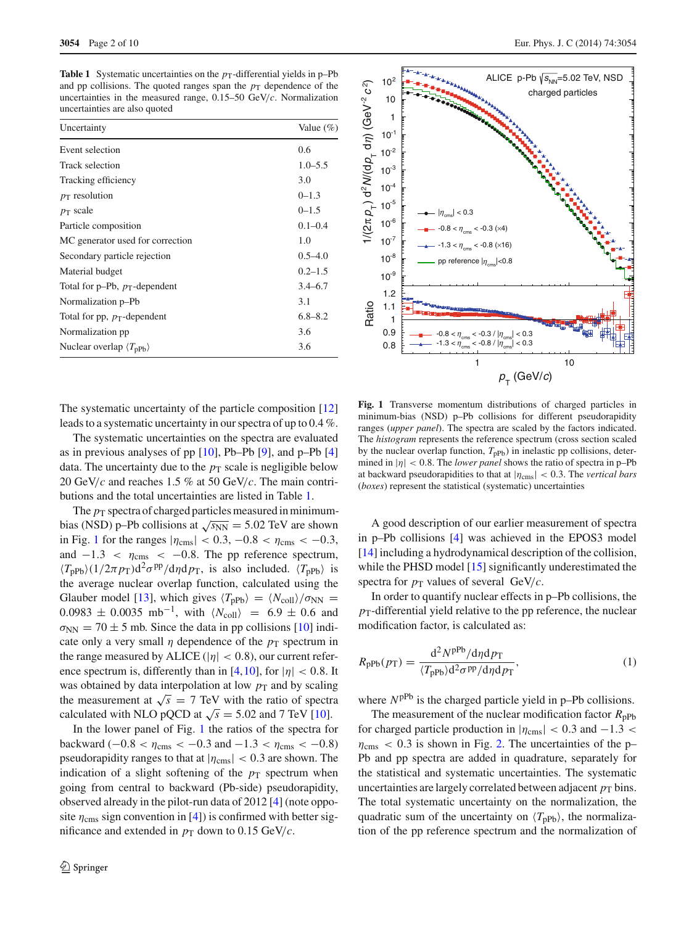<span id="page-1-0"></span>**Table 1** Systematic uncertainties on the  $p_T$ -differential yields in p–Pb and pp collisions. The quoted ranges span the  $p<sub>T</sub>$  dependence of the uncertainties in the measured range, 0.15–50 GeV/*c*. Normalization uncertainties are also quoted

| Uncertainty                                      | Value $(\%)$ |
|--------------------------------------------------|--------------|
| Event selection                                  | 0.6          |
| Track selection                                  | $1.0 - 5.5$  |
| Tracking efficiency                              | 3.0          |
| $p_T$ resolution                                 | $0 - 1.3$    |
| $p_T$ scale                                      | $0 - 1.5$    |
| Particle composition                             | $0.1 - 0.4$  |
| MC generator used for correction                 | 1.0          |
| Secondary particle rejection                     | $0.5 - 4.0$  |
| Material budget                                  | $0.2 - 1.5$  |
| Total for p-Pb, $p_T$ -dependent                 | $3.4 - 6.7$  |
| Normalization p-Pb                               | 3.1          |
| Total for pp, $p_T$ -dependent                   | $6.8 - 8.2$  |
| Normalization pp                                 | 3.6          |
| Nuclear overlap $\langle T_{\text{pPb}} \rangle$ | 3.6          |



The systematic uncertainty of the particle composition [\[12\]](#page-3-10) leads to a systematic uncertainty in our spectra of up to 0.4 %.

The systematic uncertainties on the spectra are evaluated as in previous analyses of pp  $[10]$ , Pb–Pb  $[9]$ , and p–Pb  $[4]$ data. The uncertainty due to the  $p<sub>T</sub>$  scale is negligible below 20 GeV/*c* and reaches 1.5 % at 50 GeV/*c*. The main contributions and the total uncertainties are listed in Table [1.](#page-1-0)

The  $p_T$  spectra of charged particles measured in minimumbias (NSD) p–Pb collisions at  $\sqrt{s_{NN}}$  = 5.02 TeV are shown in Fig. [1](#page-1-1) for the ranges  $|\eta_{\rm cms}| < 0.3, -0.8 < \eta_{\rm cms} < -0.3,$ and  $-1.3 < \eta_{\text{cms}} < -0.8$ . The pp reference spectrum,  $\langle T_{\text{pPb}} \rangle (1/2\pi p_{\text{T}})d^2 \sigma^{\text{pp}}/d\eta d\rho_{\text{T}}$ , is also included.  $\langle T_{\text{pPb}} \rangle$  is the average nuclear overlap function, calculated using the Glauber model [\[13\]](#page-3-12), which gives  $\langle T_{\text{pPb}} \rangle = \langle N_{\text{coll}} \rangle / \sigma_{\text{NN}} =$  $0.0983 \pm 0.0035$  mb<sup>-1</sup>, with  $\langle N_{\text{coll}} \rangle$  = 6.9 ± 0.6 and  $\sigma_{NN} = 70 \pm 5$  mb. Since the data in pp collisions [\[10](#page-3-11)] indicate only a very small  $\eta$  dependence of the  $p_T$  spectrum in the range measured by ALICE ( $|\eta| < 0.8$ ), our current refer-ence spectrum is, differently than in [\[4](#page-3-3)[,10](#page-3-11)], for  $|\eta| < 0.8$ . It was obtained by data interpolation at low  $p<sub>T</sub>$  and by scaling the measurement at  $\sqrt{s}$  = 7 TeV with the ratio of spectra calculated with NLO pQCD at  $\sqrt{s}$  = 5.02 and 7 TeV [\[10\]](#page-3-11).

In the lower panel of Fig. [1](#page-1-1) the ratios of the spectra for backward ( $-0.8 < \eta_{\rm cms} < -0.3$  and  $-1.3 < \eta_{\rm cms} < -0.8$ ) pseudorapidity ranges to that at  $|\eta_{\rm cms}| < 0.3$  are shown. The indication of a slight softening of the  $p<sub>T</sub>$  spectrum when going from central to backward (Pb-side) pseudorapidity, observed already in the pilot-run data of 2012 [\[4\]](#page-3-3) (note opposite  $\eta_{\rm cms}$  sign convention in [\[4\]](#page-3-3)) is confirmed with better significance and extended in  $p<sub>T</sub>$  down to 0.15 GeV/*c*.

<span id="page-1-1"></span>**Fig. 1** Transverse momentum distributions of charged particles in minimum-bias (NSD) p–Pb collisions for different pseudorapidity ranges (*upper panel*). The spectra are scaled by the factors indicated. The *histogram* represents the reference spectrum (cross section scaled by the nuclear overlap function,  $T_{\text{pPb}}$ ) in inelastic pp collisions, determined in  $|\eta| < 0.8$ . The *lower panel* shows the ratio of spectra in p–Pb at backward pseudorapidities to that at  $|\eta_{\rm cms}| < 0.3$ . The *vertical bars* (*boxes*) represent the statistical (systematic) uncertainties

A good description of our earlier measurement of spectra in p–Pb collisions [\[4\]](#page-3-3) was achieved in the EPOS3 model [\[14](#page-3-13)] including a hydrodynamical description of the collision, while the PHSD model [\[15](#page-3-14)] significantly underestimated the spectra for  $p<sub>T</sub>$  values of several GeV/*c*.

In order to quantify nuclear effects in p–Pb collisions, the  $p<sub>T</sub>$ -differential yield relative to the pp reference, the nuclear modification factor, is calculated as:

$$
R_{\rm pPb}(p_{\rm T}) = \frac{\mathrm{d}^2 N^{\rm pPb} / \mathrm{d}\eta \mathrm{d}p_{\rm T}}{\langle T_{\rm pPb} \rangle \mathrm{d}^2 \sigma^{\rm pp} / \mathrm{d}\eta \mathrm{d}p_{\rm T}},\tag{1}
$$

where  $N^{pPb}$  is the charged particle yield in p–Pb collisions.

The measurement of the nuclear modification factor  $R_{\text{pPb}}$ for charged particle production in  $|\eta_{\rm cms}| < 0.3$  and  $-1.3 <$  $\eta_{\rm cms}$  < 0.3 is shown in Fig. [2.](#page-2-0) The uncertainties of the p-Pb and pp spectra are added in quadrature, separately for the statistical and systematic uncertainties. The systematic uncertainties are largely correlated between adjacent  $p<sub>T</sub>$  bins. The total systematic uncertainty on the normalization, the quadratic sum of the uncertainty on  $\langle T_{\text{pPb}} \rangle$ , the normalization of the pp reference spectrum and the normalization of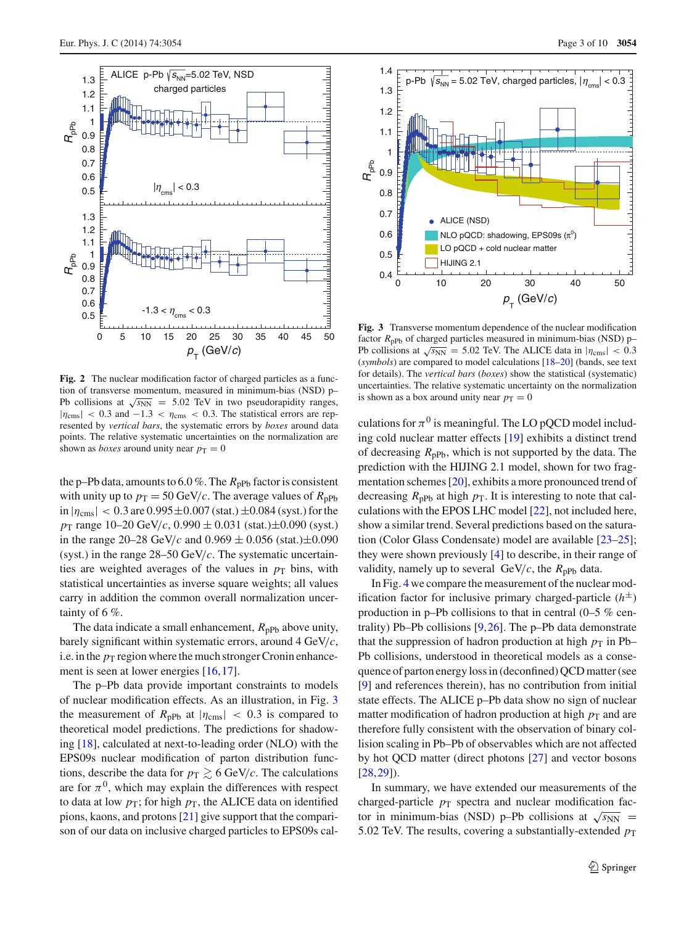

<span id="page-2-0"></span>**Fig. 2** The nuclear modification factor of charged particles as a function of transverse momentum, measured in minimum-bias (NSD) p– Pb collisions at  $\sqrt{s_{NN}}$  = 5.02 TeV in two pseudorapidity ranges,  $|\eta_{\rm cms}|$  < 0.3 and  $-1.3 < \eta_{\rm cms}$  < 0.3. The statistical errors are represented by *vertical bars*, the systematic errors by *boxes* around data points. The relative systematic uncertainties on the normalization are shown as *boxes* around unity near  $p_T = 0$ 

the p–Pb data, amounts to 6.0 %. The  $R_{\text{pPb}}$  factor is consistent with unity up to  $p_T = 50 \text{ GeV}/c$ . The average values of  $R_{\text{pPb}}$ in  $|\eta_{\rm cms}| < 0.3$  are  $0.995 \pm 0.007$  (stat.)  $\pm 0.084$  (syst.) for the *p*<sup>T</sup> range 10–20 GeV/*c*, 0.990 ± 0.031 (stat.)±0.090 (syst.) in the range 20–28 GeV/*c* and  $0.969 \pm 0.056$  (stat.) $\pm 0.090$ (syst.) in the range 28–50 GeV/*c*. The systematic uncertainties are weighted averages of the values in  $p<sub>T</sub>$  bins, with statistical uncertainties as inverse square weights; all values carry in addition the common overall normalization uncertainty of 6 %.

The data indicate a small enhancement,  $R_{\text{pPb}}$  above unity, barely significant within systematic errors, around 4 GeV/*c*, i.e. in the  $p_T$  region where the much stronger Cronin enhance-ment is seen at lower energies [\[16](#page-4-0)[,17](#page-4-1)].

The p–Pb data provide important constraints to models of nuclear modification effects. As an illustration, in Fig. [3](#page-2-1) the measurement of  $R_{\text{pPb}}$  at  $|\eta_{\text{cms}}| < 0.3$  is compared to theoretical model predictions. The predictions for shadowing [\[18\]](#page-4-2), calculated at next-to-leading order (NLO) with the EPS09s nuclear modification of parton distribution functions, describe the data for  $p_T \gtrsim 6$  GeV/*c*. The calculations are for  $\pi^0$ , which may explain the differences with respect to data at low  $p_T$ ; for high  $p_T$ , the ALICE data on identified pions, kaons, and protons [\[21](#page-4-3)] give support that the comparison of our data on inclusive charged particles to EPS09s cal-



<span id="page-2-1"></span>**Fig. 3** Transverse momentum dependence of the nuclear modification factor  $R_{\text{nPh}}$  of charged particles measured in minimum-bias (NSD) p– Pb collisions at  $\sqrt{s_{NN}} = 5.02$  TeV. The ALICE data in  $|\eta_{\rm cms}| < 0.3$ (*symbols*) are compared to model calculations [\[18](#page-4-2)[–20](#page-4-4)] (bands, see text for details). The *vertical bars* (*boxes*) show the statistical (systematic) uncertainties. The relative systematic uncertainty on the normalization is shown as a box around unity near  $p_T = 0$ 

culations for  $\pi^0$  is meaningful. The LO pQCD model including cold nuclear matter effects [\[19](#page-4-5)] exhibits a distinct trend of decreasing  $R_{\text{pPb}}$ , which is not supported by the data. The prediction with the HIJING 2.1 model, shown for two fragmentation schemes [\[20](#page-4-4)], exhibits a more pronounced trend of decreasing  $R_{\text{pPb}}$  at high  $p_{\text{T}}$ . It is interesting to note that calculations with the EPOS LHC model [\[22](#page-4-6)], not included here, show a similar trend. Several predictions based on the saturation (Color Glass Condensate) model are available [\[23](#page-4-7)[–25](#page-4-8)]; they were shown previously [\[4](#page-3-3)] to describe, in their range of validity, namely up to several  $GeV/c$ , the  $R_{pPb}$  data.

In Fig. [4](#page-3-15) we compare the measurement of the nuclear modification factor for inclusive primary charged-particle  $(h^{\pm})$ production in p–Pb collisions to that in central (0–5 % centrality) Pb–Pb collisions [\[9,](#page-3-8)[26\]](#page-4-9). The p–Pb data demonstrate that the suppression of hadron production at high  $p<sub>T</sub>$  in Pb– Pb collisions, understood in theoretical models as a consequence of parton energy loss in (deconfined) QCD matter (see [\[9](#page-3-8)] and references therein), has no contribution from initial state effects. The ALICE p–Pb data show no sign of nuclear matter modification of hadron production at high  $p<sub>T</sub>$  and are therefore fully consistent with the observation of binary collision scaling in Pb–Pb of observables which are not affected by hot QCD matter (direct photons [\[27\]](#page-4-10) and vector bosons [\[28](#page-4-11),[29\]](#page-4-12)).

In summary, we have extended our measurements of the charged-particle  $p_T$  spectra and nuclear modification factor in minimum-bias (NSD) p–Pb collisions at  $\sqrt{s_{NN}}$  = 5.02 TeV. The results, covering a substantially-extended  $p<sub>T</sub>$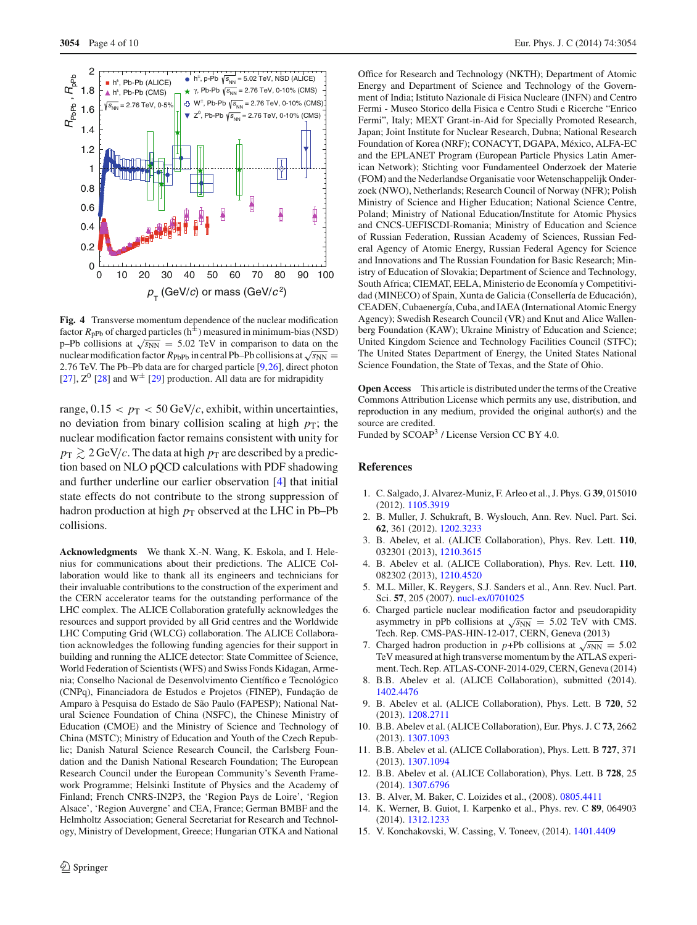

<span id="page-3-15"></span>**Fig. 4** Transverse momentum dependence of the nuclear modification factor  $R_{\text{pPb}}$  of charged particles ( $h^{\pm}$ ) measured in minimum-bias (NSD) p–Pb collisions at  $\sqrt{s_{NN}} = 5.02$  TeV in comparison to data on the nuclear modification factor  $R_{\text{PbPb}}$  in central Pb–Pb collisions at  $\sqrt{s_{NN}} =$ 2.76 TeV. The Pb–Pb data are for charged particle [\[9](#page-3-8)[,26\]](#page-4-9), direct photon [\[27](#page-4-10)],  $Z^0$  [\[28\]](#page-4-11) and  $W^{\pm}$  [\[29\]](#page-4-12) production. All data are for midrapidity

range,  $0.15 < p_T < 50$  GeV/*c*, exhibit, within uncertainties, no deviation from binary collision scaling at high  $p<sub>T</sub>$ ; the nuclear modification factor remains consistent with unity for  $p_{\rm T} \gtrsim 2$  GeV/*c*. The data at high  $p_{\rm T}$  are described by a prediction based on NLO pQCD calculations with PDF shadowing and further underline our earlier observation [\[4\]](#page-3-3) that initial state effects do not contribute to the strong suppression of hadron production at high  $p<sub>T</sub>$  observed at the LHC in Pb–Pb collisions.

**Acknowledgments** We thank X.-N. Wang, K. Eskola, and I. Helenius for communications about their predictions. The ALICE Collaboration would like to thank all its engineers and technicians for their invaluable contributions to the construction of the experiment and the CERN accelerator teams for the outstanding performance of the LHC complex. The ALICE Collaboration gratefully acknowledges the resources and support provided by all Grid centres and the Worldwide LHC Computing Grid (WLCG) collaboration. The ALICE Collaboration acknowledges the following funding agencies for their support in building and running the ALICE detector: State Committee of Science, World Federation of Scientists (WFS) and Swiss Fonds Kidagan, Armenia; Conselho Nacional de Desenvolvimento Científico e Tecnológico (CNPq), Financiadora de Estudos e Projetos (FINEP), Fundação de Amparo à Pesquisa do Estado de São Paulo (FAPESP); National Natural Science Foundation of China (NSFC), the Chinese Ministry of Education (CMOE) and the Ministry of Science and Technology of China (MSTC); Ministry of Education and Youth of the Czech Republic; Danish Natural Science Research Council, the Carlsberg Foundation and the Danish National Research Foundation; The European Research Council under the European Community's Seventh Framework Programme; Helsinki Institute of Physics and the Academy of Finland; French CNRS-IN2P3, the 'Region Pays de Loire', 'Region Alsace', 'Region Auvergne' and CEA, France; German BMBF and the Helmholtz Association; General Secretariat for Research and Technology, Ministry of Development, Greece; Hungarian OTKA and National

Office for Research and Technology (NKTH); Department of Atomic Energy and Department of Science and Technology of the Government of India; Istituto Nazionale di Fisica Nucleare (INFN) and Centro Fermi - Museo Storico della Fisica e Centro Studi e Ricerche "Enrico Fermi", Italy; MEXT Grant-in-Aid for Specially Promoted Research, Japan; Joint Institute for Nuclear Research, Dubna; National Research Foundation of Korea (NRF); CONACYT, DGAPA, México, ALFA-EC and the EPLANET Program (European Particle Physics Latin American Network); Stichting voor Fundamenteel Onderzoek der Materie (FOM) and the Nederlandse Organisatie voor Wetenschappelijk Onderzoek (NWO), Netherlands; Research Council of Norway (NFR); Polish Ministry of Science and Higher Education; National Science Centre, Poland; Ministry of National Education/Institute for Atomic Physics and CNCS-UEFISCDI-Romania; Ministry of Education and Science of Russian Federation, Russian Academy of Sciences, Russian Federal Agency of Atomic Energy, Russian Federal Agency for Science and Innovations and The Russian Foundation for Basic Research; Ministry of Education of Slovakia; Department of Science and Technology, South Africa; CIEMAT, EELA, Ministerio de Economía y Competitividad (MINECO) of Spain, Xunta de Galicia (Consellería de Educación), CEADEN, Cubaenergía, Cuba, and IAEA (International Atomic Energy Agency); Swedish Research Council (VR) and Knut and Alice Wallenberg Foundation (KAW); Ukraine Ministry of Education and Science; United Kingdom Science and Technology Facilities Council (STFC); The United States Department of Energy, the United States National Science Foundation, the State of Texas, and the State of Ohio.

**Open Access** This article is distributed under the terms of the Creative Commons Attribution License which permits any use, distribution, and reproduction in any medium, provided the original author(s) and the source are credited.

Funded by SCOAP<sup>3</sup> / License Version CC BY 4.0.

## **References**

- <span id="page-3-0"></span>1. C. Salgado, J. Alvarez-Muniz, F. Arleo et al., J. Phys. G **39**, 015010 (2012). [1105.3919](http://arxiv.org/abs/1105.3919)
- <span id="page-3-1"></span>2. B. Muller, J. Schukraft, B. Wyslouch, Ann. Rev. Nucl. Part. Sci. **62**, 361 (2012). [1202.3233](http://arxiv.org/abs/1202.3233)
- <span id="page-3-2"></span>3. B. Abelev, et al. (ALICE Collaboration), Phys. Rev. Lett. **110**, 032301 (2013), [1210.3615](http://arxiv.org/abs/1210.3615)
- <span id="page-3-3"></span>4. B. Abelev et al. (ALICE Collaboration), Phys. Rev. Lett. **110**, 082302 (2013), [1210.4520](http://arxiv.org/abs/1210.4520)
- <span id="page-3-4"></span>5. M.L. Miller, K. Reygers, S.J. Sanders et al., Ann. Rev. Nucl. Part. Sci. **57**, 205 (2007). [nucl-ex/0701025](http://arxiv.org/abs/nucl-ex/0701025)
- <span id="page-3-5"></span>6. Charged particle nuclear modification factor and pseudorapidity asymmetry in pPb collisions at  $\sqrt{s_{NN}}$  = 5.02 TeV with CMS. Tech. Rep. CMS-PAS-HIN-12-017, CERN, Geneva (2013)
- <span id="page-3-6"></span>7. Charged hadron production in *p*+Pb collisions at  $\sqrt{s_{NN}} = 5.02$ TeV measured at high transverse momentum by the ATLAS experiment. Tech. Rep. ATLAS-CONF-2014-029, CERN, Geneva (2014)
- <span id="page-3-7"></span>8. B.B. Abelev et al. (ALICE Collaboration), submitted (2014). [1402.4476](http://arxiv.org/abs/1402.4476)
- <span id="page-3-8"></span>9. B. Abelev et al. (ALICE Collaboration), Phys. Lett. B **720**, 52 (2013). [1208.2711](http://arxiv.org/abs/1208.2711)
- <span id="page-3-11"></span>10. B.B. Abelev et al. (ALICE Collaboration), Eur. Phys. J. C **73**, 2662 (2013). [1307.1093](http://arxiv.org/abs/1307.1093)
- <span id="page-3-9"></span>11. B.B. Abelev et al. (ALICE Collaboration), Phys. Lett. B **727**, 371 (2013). [1307.1094](http://arxiv.org/abs/1307.1094)
- <span id="page-3-10"></span>12. B.B. Abelev et al. (ALICE Collaboration), Phys. Lett. B **728**, 25 (2014). [1307.6796](http://arxiv.org/abs/1307.6796)
- <span id="page-3-12"></span>13. B. Alver, M. Baker, C. Loizides et al., (2008). [0805.4411](http://arxiv.org/abs/0805.4411)
- <span id="page-3-13"></span>14. K. Werner, B. Guiot, I. Karpenko et al., Phys. rev. C **89**, 064903 (2014). [1312.1233](http://arxiv.org/abs/1312.1233)
- <span id="page-3-14"></span>15. V. Konchakovski, W. Cassing, V. Toneev, (2014). [1401.4409](http://arxiv.org/abs/1401.4409)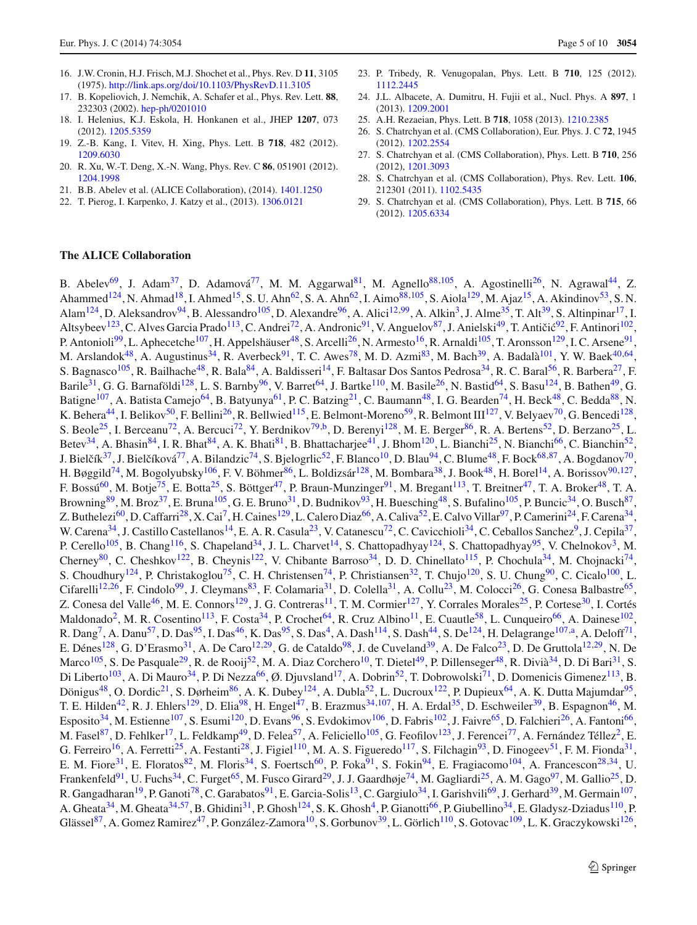- <span id="page-4-0"></span>16. J.W. Cronin, H.J. Frisch, M.J. Shochet et al., Phys. Rev. D **11**, 3105 (1975). <http://link.aps.org/doi/10.1103/PhysRevD.11.3105>
- <span id="page-4-1"></span>17. B. Kopeliovich, J. Nemchik, A. Schafer et al., Phys. Rev. Lett. **88**, 232303 (2002). [hep-ph/0201010](http://arxiv.org/abs/hep-ph/0201010)
- <span id="page-4-2"></span>18. I. Helenius, K.J. Eskola, H. Honkanen et al., JHEP **1207**, 073 (2012). [1205.5359](http://arxiv.org/abs/1205.5359)
- <span id="page-4-5"></span>19. Z.-B. Kang, I. Vitev, H. Xing, Phys. Lett. B **718**, 482 (2012). [1209.6030](http://arxiv.org/abs/1209.6030)
- <span id="page-4-4"></span>20. R. Xu, W.-T. Deng, X.-N. Wang, Phys. Rev. C **86**, 051901 (2012). [1204.1998](http://arxiv.org/abs/1204.1998)
- <span id="page-4-3"></span>21. B.B. Abelev et al. (ALICE Collaboration), (2014). [1401.1250](http://arxiv.org/abs/1401.1250)
- <span id="page-4-6"></span>22. T. Pierog, I. Karpenko, J. Katzy et al., (2013). [1306.0121](http://arxiv.org/abs/1306.0121)
- <span id="page-4-7"></span>23. P. Tribedy, R. Venugopalan, Phys. Lett. B **710**, 125 (2012). [1112.2445](http://arxiv.org/abs/1112.2445)
- 24. J.L. Albacete, A. Dumitru, H. Fujii et al., Nucl. Phys. A **897**, 1 (2013). [1209.2001](http://arxiv.org/abs/1209.2001)
- <span id="page-4-8"></span>25. A.H. Rezaeian, Phys. Lett. B **718**, 1058 (2013). [1210.2385](http://arxiv.org/abs/1210.2385)
- <span id="page-4-9"></span>26. S. Chatrchyan et al. (CMS Collaboration), Eur. Phys. J. C **72**, 1945 (2012). [1202.2554](http://arxiv.org/abs/1202.2554)
- <span id="page-4-10"></span>27. S. Chatrchyan et al. (CMS Collaboration), Phys. Lett. B **710**, 256 (2012), [1201.3093](http://arxiv.org/abs/1201.3093)
- <span id="page-4-11"></span>28. S. Chatrchyan et al. (CMS Collaboration), Phys. Rev. Lett. **106**, 212301 (2011). [1102.5435](http://arxiv.org/abs/1102.5435)
- <span id="page-4-12"></span>29. S. Chatrchyan et al. (CMS Collaboration), Phys. Lett. B **715**, 66 (2012). [1205.6334](http://arxiv.org/abs/1205.6334)

## **The ALICE Collaboration**

B. Abelev<sup>69</sup>, J. Adam<sup>37</sup>, D. Adamová<sup>77</sup>, M. M. Aggarwal<sup>81</sup>, M. Agnello<sup>88,105</sup>, A. Agostinelli<sup>26</sup>, N. Agrawal<sup>44</sup>, Z. Ahammed<sup>124</sup>, N. Ahmad<sup>18</sup>, I. Ahmed<sup>15</sup>, S. U. Ahn<sup>62</sup>, S. A. Ahn<sup>62</sup>, I. Aimo<sup>88,105</sup>, S. Aiola<sup>129</sup>, M. Ajaz<sup>15</sup>, A. Akindinov<sup>53</sup>, S. N. Alam<sup>124</sup>, D. Aleksandrov<sup>94</sup>, B. Alessandro<sup>105</sup>, D. Alexandre<sup>96</sup>, A. Alici<sup>12,99</sup>, A. Alkin<sup>3</sup>, J. Alme<sup>35</sup>, T. Alt<sup>39</sup>, S. Altinpinar<sup>17</sup>, I. Altsybeev<sup>123</sup>, C. Alves Garcia Prado<sup>113</sup>, C. Andrei<sup>72</sup>, A. Andronic<sup>91</sup>, V. Anguelov<sup>87</sup>, J. Anielski<sup>49</sup>, T. Antičić<sup>92</sup>, F. Antinori<sup>102</sup>, P. Antonioli<sup>99</sup>, L. Aphecetche<sup>107</sup>, H. Appelshäuser<sup>48</sup>, S. Arcelli<sup>26</sup>, N. Armesto<sup>16</sup>, R. Arnaldi<sup>105</sup>, T. Aronsson<sup>129</sup>, I. C. Arsene<sup>91</sup>, M. Arslandok<sup>48</sup>, A. Augustinus<sup>34</sup>, R. Averbeck<sup>91</sup>, T. C. Awes<sup>78</sup>, M. D. Azmi<sup>83</sup>, M. Bach<sup>39</sup>, A. Badalà<sup>101</sup>, Y. W. Baek<sup>40,64</sup>, S. Bagnasco<sup>105</sup>, R. Bailhache<sup>48</sup>, R. Bala<sup>84</sup>, A. Baldisseri<sup>14</sup>, F. Baltasar Dos Santos Pedrosa<sup>34</sup>, R. C. Baral<sup>56</sup>, R. Barbera<sup>27</sup>, F. Barile<sup>31</sup>, G. G. Barnaföldi<sup>128</sup>, L. S. Barnby<sup>96</sup>, V. Barret<sup>64</sup>, J. Bartke<sup>110</sup>, M. Basile<sup>26</sup>, N. Bastid<sup>64</sup>, S. Basu<sup>124</sup>, B. Bathen<sup>49</sup>, G. Batigne<sup>107</sup>, A. Batista Camejo<sup>64</sup>, B. Batyunya<sup>61</sup>, P. C. Batzing<sup>21</sup>, C. Baumann<sup>48</sup>, I. G. Bearden<sup>74</sup>, H. Beck<sup>48</sup>, C. Bedda<sup>88</sup>, N. K. Behera<sup>44</sup>, I. Belikov<sup>50</sup>, F. Bellini<sup>26</sup>, R. Bellwied<sup>115</sup>, E. Belmont-Moreno<sup>59</sup>, R. Belmont III<sup>127</sup>, V. Belyaev<sup>70</sup>, G. Bencedi<sup>128</sup>, S. Beole<sup>25</sup>, I. Berceanu<sup>72</sup>, A. Bercuci<sup>72</sup>, Y. Berdnikov<sup>79,b</sup>, D. Berenyi<sup>128</sup>, M. E. Berger<sup>86</sup>, R. A. Bertens<sup>52</sup>, D. Berzano<sup>25</sup>, L. Betev<sup>34</sup>, A. Bhasin<sup>84</sup>, I. R. Bhat<sup>84</sup>, A. K. Bhati<sup>81</sup>, B. Bhattacharjee<sup>41</sup>, J. Bhom<sup>120</sup>, L. Bianchi<sup>25</sup>, N. Bianchi<sup>66</sup>, C. Bianchin<sup>52</sup>, J. Bielčík<sup>37</sup>, J. Bielčíková<sup>77</sup>, A. Bilandzic<sup>74</sup>, S. Bjelogrlic<sup>52</sup>, F. Blanco<sup>10</sup>, D. Blau<sup>94</sup>, C. Blume<sup>48</sup>, F. Bock<sup>68,87</sup>, A. Bogdanov<sup>70</sup>, H. Bøggild<sup>74</sup>, M. Bogolyubsky<sup>106</sup>, F. V. Böhmer<sup>86</sup>, L. Boldizsár<sup>128</sup>, M. Bombara<sup>38</sup>, J. Book<sup>48</sup>, H. Borel<sup>14</sup>, A. Borissov<sup>90,127</sup>, F. Bossú<sup>60</sup>, M. Botje<sup>75</sup>, E. Botta<sup>25</sup>, S. Böttger<sup>47</sup>, P. Braun-Munzinger<sup>91</sup>, M. Bregant<sup>113</sup>, T. Breitner<sup>47</sup>, T. A. Broker<sup>48</sup>, T. A. Browning<sup>89</sup>, M. Broz<sup>37</sup>, E. Bruna<sup>105</sup>, G. E. Bruno<sup>31</sup>, D. Budnikov<sup>93</sup>, H. Buesching<sup>48</sup>, S. Bufalino<sup>105</sup>, P. Buncic<sup>34</sup>, O. Busch<sup>87</sup>, Z. Buthelezi<sup>60</sup>, D. Caffarri<sup>28</sup>, X. Cai<sup>7</sup>, H. Caines<sup>129</sup>, L. Calero Diaz<sup>66</sup>, A. Caliva<sup>52</sup>, E. Calvo Villar<sup>97</sup>, P. Camerini<sup>24</sup>, F. Carena<sup>34</sup>, W. Carena<sup>34</sup>, J. Castillo Castellanos<sup>14</sup>, E. A. R. Casula<sup>23</sup>, V. Catanescu<sup>72</sup>, C. Cavicchioli<sup>34</sup>, C. Ceballos Sanchez<sup>9</sup>, J. Cepila<sup>37</sup>, P. Cerello<sup>105</sup>, B. Chang<sup>116</sup>, S. Chapeland<sup>34</sup>, J. L. Charvet<sup>14</sup>, S. Chattopadhyay<sup>124</sup>, S. Chattopadhyay<sup>95</sup>, V. Chelnokov<sup>3</sup>, M. Cherney<sup>80</sup>, C. Cheshkov<sup>122</sup>, B. Cheynis<sup>122</sup>, V. Chibante Barroso<sup>34</sup>, D. D. Chinellato<sup>115</sup>, P. Chochula<sup>34</sup>, M. Chojnacki<sup>74</sup>, S. Choudhury<sup>124</sup>, P. Christakoglou<sup>75</sup>, C. H. Christensen<sup>74</sup>, P. Christiansen<sup>32</sup>, T. Chujo<sup>120</sup>, S. U. Chung<sup>90</sup>, C. Cicalo<sup>100</sup>, L. Cifarelli<sup>12,26</sup>, F. Cindolo<sup>99</sup>, J. Cleymans<sup>83</sup>, F. Colamaria<sup>31</sup>, D. Colella<sup>31</sup>, A. Collu<sup>23</sup>, M. Colocci<sup>26</sup>, G. Conesa Balbastre<sup>65</sup>, Z. Conesa del Valle<sup>46</sup>, M. E. Connors<sup>129</sup>, J. G. Contreras<sup>11</sup>, T. M. Cormier<sup>127</sup>, Y. Corrales Morales<sup>25</sup>, P. Cortese<sup>30</sup>, I. Cortés Maldonado<sup>2</sup>, M. R. Cosentino<sup>113</sup>, F. Costa<sup>34</sup>, P. Crochet<sup>64</sup>, R. Cruz Albino<sup>11</sup>, E. Cuautle<sup>58</sup>, L. Cunqueiro<sup>66</sup>, A. Dainese<sup>102</sup>, R. Dang<sup>7</sup>, A. Danu<sup>57</sup>, D. Das<sup>95</sup>, I. Das<sup>46</sup>, K. Das<sup>95</sup>, S. Das<sup>4</sup>, A. Dash<sup>114</sup>, S. Dash<sup>44</sup>, S. De<sup>124</sup>, H. Delagrange<sup>107,a</sup>, A. Deloff<sup>71</sup>, E. Dénes<sup>128</sup>, G. D'Erasmo<sup>31</sup>, A. De Caro<sup>12, 29</sup>, G. de Cataldo<sup>98</sup>, J. de Cuveland<sup>39</sup>, A. De Falco<sup>23</sup>, D. De Gruttola<sup>12, 29</sup>, N. De Marco<sup>105</sup>, S. De Pasquale<sup>29</sup>, R. de Rooij<sup>52</sup>, M. A. Diaz Corchero<sup>10</sup>, T. Dietel<sup>49</sup>, P. Dillenseger<sup>48</sup>, R. Divià<sup>34</sup>, D. Di Bari<sup>31</sup>, S. Di Liberto<sup>103</sup>, A. Di Mauro<sup>34</sup>, P. Di Nezza<sup>66</sup>, Ø. Djuvsland<sup>17</sup>, A. Dobrin<sup>52</sup>, T. Dobrowolski<sup>71</sup>, D. Domenicis Gimenez<sup>113</sup>, B. Dönigus<sup>48</sup>, O. Dordic<sup>21</sup>, S. Dørheim<sup>86</sup>, A. K. Dubey<sup>124</sup>, A. Dubla<sup>52</sup>, L. Ducroux<sup>122</sup>, P. Dupieux<sup>64</sup>, A. K. Dutta Majumdar<sup>95</sup>, T. E. Hilden<sup>42</sup>, R. J. Ehlers<sup>129</sup>, D. Elia<sup>98</sup>, H. Engel<sup>47</sup>, B. Erazmus<sup>34,107</sup>, H. A. Erdal<sup>35</sup>, D. Eschweiler<sup>39</sup>, B. Espagnon<sup>46</sup>, M. Esposito<sup>34</sup>, M. Estienne<sup>107</sup>, S. Esumi<sup>120</sup>, D. Evans<sup>96</sup>, S. Evdokimov<sup>106</sup>, D. Fabris<sup>102</sup>, J. Faivre<sup>65</sup>, D. Falchieri<sup>26</sup>, A. Fantoni<sup>66</sup>, M. Fasel<sup>87</sup>, D. Fehlker<sup>17</sup>, L. Feldkamp<sup>49</sup>, D. Felea<sup>57</sup>, A. Feliciello<sup>105</sup>, G. Feofilov<sup>123</sup>, J. Ferencei<sup>77</sup>, A. Fernández Téllez<sup>2</sup>, E. G. Ferreiro<sup>16</sup>, A. Ferretti<sup>25</sup>, A. Festanti<sup>28</sup>, J. Figiel<sup>110</sup>, M. A. S. Figueredo<sup>117</sup>, S. Filchagin<sup>93</sup>, D. Finogeev<sup>51</sup>, F. M. Fionda<sup>31</sup>, E. M. Fiore<sup>31</sup>, E. Floratos<sup>82</sup>, M. Floris<sup>34</sup>, S. Foertsch<sup>60</sup>, P. Foka<sup>91</sup>, S. Fokin<sup>94</sup>, E. Fragiacomo<sup>104</sup>, A. Francescon<sup>28,34</sup>, U. Frankenfeld<sup>91</sup>, U. Fuchs<sup>34</sup>, C. Furget<sup>65</sup>, M. Fusco Girard<sup>29</sup>, J. J. Gaardhøje<sup>74</sup>, M. Gagliardi<sup>25</sup>, A. M. Gago<sup>97</sup>, M. Gallio<sup>25</sup>, D. R. Gangadharan<sup>19</sup>, P. Ganoti<sup>78</sup>, C. Garabatos<sup>91</sup>, E. Garcia-Solis<sup>13</sup>, C. Gargiulo<sup>34</sup>, I. Garishvili<sup>69</sup>, J. Gerhard<sup>39</sup>, M. Germain<sup>107</sup>, A. Gheata<sup>34</sup>, M. Gheata<sup>34,57</sup>, B. Ghidini<sup>31</sup>, P. Ghosh<sup>124</sup>, S. K. Ghosh<sup>4</sup>, P. Gianotti<sup>66</sup>, P. Giubellino<sup>34</sup>, E. Gladysz-Dziadus<sup>110</sup>, P. Glässel<sup>87</sup>, A. Gomez Ramirez<sup>47</sup>, P. González-Zamora<sup>10</sup>, S. Gorbunov<sup>39</sup>, L. Görlich<sup>110</sup>, S. Gotovac<sup>109</sup>, L. K. Graczykowski<sup>126</sup>,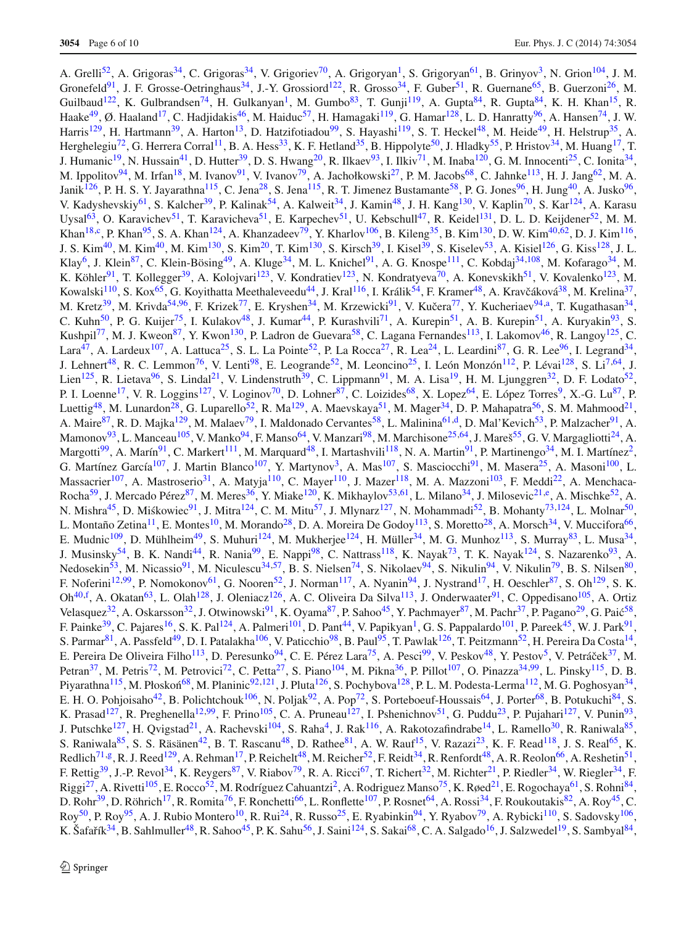A. Grelli<sup>52</sup>, A. Grigoras<sup>34</sup>, C. Grigoras<sup>34</sup>, V. Grigoriev<sup>70</sup>, A. Grigoryan<sup>1</sup>, S. Grigoryan<sup>61</sup>, B. Grinyov<sup>3</sup>, N. Grion<sup>104</sup>, J. M. Gronefeld<sup>91</sup>, J. F. Grosse-Oetringhaus<sup>34</sup>, J.-Y. Grossiord<sup>122</sup>, R. Grosso<sup>34</sup>, F. Guber<sup>51</sup>, R. Guernane<sup>65</sup>, B. Guerzoni<sup>26</sup>, M. Guilbaud<sup>122</sup>, K. Gulbrandsen<sup>74</sup>, H. Gulkanyan<sup>1</sup>, M. Gumbo<sup>83</sup>, T. Gunji<sup>119</sup>, A. Gupta<sup>84</sup>, R. Gupta<sup>84</sup>, K. H. Khan<sup>15</sup>, R. Haake<sup>49</sup>, Ø. Haaland<sup>17</sup>, C. Hadjidakis<sup>46</sup>, M. Haiduc<sup>57</sup>, H. Hamagaki<sup>119</sup>, G. Hamar<sup>128</sup>, L. D. Hanratty<sup>96</sup>, A. Hansen<sup>74</sup>, J. W. Harris<sup>129</sup>, H. Hartmann<sup>39</sup>, A. Harton<sup>13</sup>, D. Hatzifotiadou<sup>99</sup>, S. Hayashi<sup>119</sup>, S. T. Heckel<sup>48</sup>, M. Heide<sup>49</sup>, H. Helstrup<sup>35</sup>, A. Herghelegiu<sup>72</sup>, G. Herrera Corral<sup>11</sup>, B. A. Hess<sup>33</sup>, K. F. Hetland<sup>35</sup>, B. Hippolyte<sup>50</sup>, J. Hladky<sup>55</sup>, P. Hristov<sup>34</sup>, M. Huang<sup>17</sup>, T. J. Humanic<sup>19</sup>, N. Hussain<sup>41</sup>, D. Hutter<sup>39</sup>, D. S. Hwang<sup>20</sup>, R. Ilkaev<sup>93</sup>, I. Ilkiv<sup>71</sup>, M. Inaba<sup>120</sup>, G. M. Innocenti<sup>25</sup>, C. Ionita<sup>34</sup>, M. Ippolitov<sup>94</sup>, M. Irfan<sup>18</sup>, M. Ivanov<sup>91</sup>, V. Ivanov<sup>79</sup>, A. Jachołkowski<sup>27</sup>, P. M. Jacobs<sup>68</sup>, C. Jahnke<sup>113</sup>, H. J. Jang<sup>62</sup>, M. A. Janik<sup>126</sup>, P. H. S. Y. Jayarathna<sup>115</sup>, C. Jena<sup>28</sup>, S. Jena<sup>115</sup>, R. T. Jimenez Bustamante<sup>58</sup>, P. G. Jones<sup>96</sup>, H. Jung<sup>40</sup>, A. Jusko<sup>96</sup>, V. Kadyshevskiy<sup>61</sup>, S. Kalcher<sup>39</sup>, P. Kalinak<sup>54</sup>, A. Kalweit<sup>34</sup>, J. Kamin<sup>48</sup>, J. H. Kang<sup>130</sup>, V. Kaplin<sup>70</sup>, S. Kar<sup>124</sup>, A. Karasu Uysal<sup>63</sup>, O. Karavichev<sup>51</sup>, T. Karavicheva<sup>51</sup>, E. Karpechev<sup>51</sup>, U. Kebschull<sup>47</sup>, R. Keidel<sup>131</sup>, D. L. D. Keijdener<sup>52</sup>, M. M. Khan<sup>18,c</sup>, P. Khan<sup>95</sup>, S. A. Khan<sup>124</sup>, A. Khanzadeev<sup>79</sup>, Y. Kharlov<sup>106</sup>, B. Kileng<sup>35</sup>, B. Kim<sup>130</sup>, D. W. Kim<sup>40,62</sup>, D. J. Kim<sup>116</sup>, J. S. Kim<sup>40</sup>, M. Kim<sup>40</sup>, M. Kim<sup>130</sup>, S. Kim<sup>20</sup>, T. Kim<sup>130</sup>, S. Kirsch<sup>39</sup>, I. Kisel<sup>39</sup>, S. Kiselev<sup>53</sup>, A. Kisiel<sup>126</sup>, G. Kiss<sup>128</sup>, J. L. Klay<sup>6</sup>, J. Klein<sup>87</sup>, C. Klein-Bösing<sup>49</sup>, A. Kluge<sup>34</sup>, M. L. Knichel<sup>91</sup>, A. G. Knospe<sup>111</sup>, C. Kobdaj<sup>34,108</sup>, M. Kofarago<sup>34</sup>, M. K. Köhler<sup>91</sup>, T. Kollegger<sup>39</sup>, A. Kolojvari<sup>123</sup>, V. Kondratiev<sup>123</sup>, N. Kondratyeva<sup>70</sup>, A. Konevskikh<sup>51</sup>, V. Kovalenko<sup>123</sup>, M. Kowalski<sup>110</sup>, S. Kox<sup>65</sup>, G. Koyithatta Meethaleveedu<sup>44</sup>, J. Kral<sup>116</sup>, I. Králik<sup>54</sup>, F. Kramer<sup>48</sup>, A. Kravčáková<sup>38</sup>, M. Krelina<sup>37</sup>, M. Kretz<sup>39</sup>, M. Krivda<sup>54,96</sup>, F. Krizek<sup>77</sup>, E. Kryshen<sup>34</sup>, M. Krzewicki<sup>91</sup>, V. Kučera<sup>77</sup>, Y. Kucheriaev<sup>94,a</sup>, T. Kugathasan<sup>34</sup>, C. Kuhn<sup>50</sup>, P. G. Kuijer<sup>75</sup>, I. Kulakov<sup>48</sup>, J. Kumar<sup>44</sup>, P. Kurashvili<sup>71</sup>, A. Kurepin<sup>51</sup>, A. B. Kurepin<sup>51</sup>, A. Kuryakin<sup>93</sup>, S. Kushpil<sup>77</sup>, M. J. Kweon<sup>87</sup>, Y. Kwon<sup>130</sup>, P. Ladron de Guevara<sup>58</sup>, C. Lagana Fernandes<sup>113</sup>, I. Lakomov<sup>46</sup>, R. Langoy<sup>125</sup>, C. Lara<sup>47</sup>, A. Lardeux<sup>107</sup>, A. Lattuca<sup>25</sup>, S. L. La Pointe<sup>52</sup>, P. La Rocca<sup>27</sup>, R. Lea<sup>24</sup>, L. Leardini<sup>87</sup>, G. R. Lee<sup>96</sup>, I. Legrand<sup>34</sup>, J. Lehnert<sup>48</sup>, R. C. Lemmon<sup>76</sup>, V. Lenti<sup>98</sup>, E. Leogrande<sup>52</sup>, M. Leoncino<sup>25</sup>, I. León Monzón<sup>112</sup>, P. Lévai<sup>128</sup>, S. Li<sup>7,64</sup>, J. Lien<sup>125</sup>, R. Lietava<sup>96</sup>, S. Lindal<sup>21</sup>, V. Lindenstruth<sup>39</sup>, C. Lippmann<sup>91</sup>, M. A. Lisa<sup>19</sup>, H. M. Ljunggren<sup>32</sup>, D. F. Lodato<sup>52</sup>, P. I. Loenne<sup>17</sup>, V. R. Loggins<sup>127</sup>, V. Loginov<sup>70</sup>, D. Lohner<sup>87</sup>, C. Loizides<sup>68</sup>, X. Lopez<sup>64</sup>, E. López Torres<sup>9</sup>, X.-G. Lu<sup>87</sup>, P. Luettig<sup>48</sup>, M. Lunardon<sup>28</sup>, G. Luparello<sup>52</sup>, R. Ma<sup>129</sup>, A. Maevskaya<sup>51</sup>, M. Mager<sup>34</sup>, D. P. Mahapatra<sup>56</sup>, S. M. Mahmood<sup>21</sup>, A. Maire<sup>87</sup>, R. D. Majka<sup>129</sup>, M. Malaev<sup>79</sup>, I. Maldonado Cervantes<sup>58</sup>, L. Malinina<sup>61,d</sup>, D. Mal'Kevich<sup>53</sup>, P. Malzacher<sup>91</sup>, A. Mamonov<sup>93</sup>, L. Manceau<sup>105</sup>, V. Manko<sup>94</sup>, F. Manso<sup>64</sup>, V. Manzari<sup>98</sup>, M. Marchisone<sup>25,64</sup>, J. Mareš<sup>55</sup>, G. V. Margagliotti<sup>24</sup>, A. Margotti<sup>99</sup>, A. Marín<sup>91</sup>, C. Markert<sup>111</sup>, M. Marquard<sup>48</sup>, I. Martashvili<sup>118</sup>, N. A. Martin<sup>91</sup>, P. Martinengo<sup>34</sup>, M. I. Martínez<sup>2</sup>, G. Martínez García<sup>107</sup>, J. Martin Blanco<sup>107</sup>, Y. Martynov<sup>3</sup>, A. Mas<sup>107</sup>, S. Masciocchi<sup>91</sup>, M. Masera<sup>25</sup>, A. Masoni<sup>100</sup>, L. Massacrier<sup>107</sup>, A. Mastroserio<sup>31</sup>, A. Matyja<sup>110</sup>, C. Mayer<sup>110</sup>, J. Mazer<sup>118</sup>, M. A. Mazzoni<sup>103</sup>, F. Meddi<sup>22</sup>, A. Menchaca-Rocha<sup>59</sup>, J. Mercado Pérez<sup>87</sup>, M. Meres<sup>36</sup>, Y. Miake<sup>120</sup>, K. Mikhaylov<sup>53,61</sup>, L. Milano<sup>34</sup>, J. Milosevic<sup>21,e</sup>, A. Mischke<sup>52</sup>, A. N. Mishra<sup>45</sup>, D. Miśkowiec<sup>91</sup>, J. Mitra<sup>124</sup>, C. M. Mitu<sup>57</sup>, J. Mlynarz<sup>127</sup>, N. Mohammadi<sup>52</sup>, B. Mohanty<sup>73,124</sup>, L. Molnar<sup>50</sup>, L. Montaño Zetina<sup>11</sup>, E. Montes<sup>10</sup>, M. Morando<sup>28</sup>, D. A. Moreira De Godoy<sup>113</sup>, S. Moretto<sup>28</sup>, A. Morsch<sup>34</sup>, V. Muccifora<sup>66</sup>, E. Mudnic<sup>109</sup>, D. Mühlheim<sup>49</sup>, S. Muhuri<sup>124</sup>, M. Mukherjee<sup>124</sup>, H. Müller<sup>34</sup>, M. G. Munhoz<sup>113</sup>, S. Murray<sup>83</sup>, L. Musa<sup>34</sup>, J. Musinsky<sup>54</sup>, B. K. Nandi<sup>44</sup>, R. Nania<sup>99</sup>, E. Nappi<sup>98</sup>, C. Nattrass<sup>118</sup>, K. Nayak<sup>73</sup>, T. K. Nayak<sup>124</sup>, S. Nazarenko<sup>93</sup>, A. Nedosekin<sup>53</sup>, M. Nicassio<sup>91</sup>, M. Niculescu<sup>34,57</sup>, B. S. Nielsen<sup>74</sup>, S. Nikolaev<sup>94</sup>, S. Nikulin<sup>94</sup>, V. Nikulin<sup>79</sup>, B. S. Nilsen<sup>80</sup>, F. Noferini<sup>12,99</sup>, P. Nomokonov<sup>61</sup>, G. Nooren<sup>52</sup>, J. Norman<sup>117</sup>, A. Nyanin<sup>94</sup>, J. Nystrand<sup>17</sup>, H. Oeschler<sup>87</sup>, S. Oh<sup>129</sup>, S. K. Oh<sup>40[,f](#page-9-9)</sup>, A. Okatan<sup>63</sup>, L. Olah<sup>128</sup>, J. Oleniacz<sup>126</sup>, A. C. Oliveira Da Silva<sup>113</sup>, J. Onderwaater<sup>91</sup>, C. Oppedisano<sup>105</sup>, A. Ortiz Velasquez<sup>32</sup>, A. Oskarsson<sup>32</sup>, J. Otwinowski<sup>91</sup>, K. Oyama<sup>87</sup>, P. Sahoo<sup>45</sup>, Y. Pachmayer<sup>87</sup>, M. Pachr<sup>37</sup>, P. Pagano<sup>29</sup>, G. Paić<sup>58</sup>, F. Painke<sup>39</sup>, C. Pajares<sup>16</sup>, S. K. Pal<sup>124</sup>, A. Palmeri<sup>101</sup>, D. Pant<sup>44</sup>, V. Papikyan<sup>1</sup>, G. S. Pappalardo<sup>101</sup>, P. Pareek<sup>45</sup>, W. J. Park<sup>91</sup>, S. Parmar<sup>81</sup>, A. Passfeld<sup>49</sup>, D. I. Patalakha<sup>106</sup>, V. Paticchio<sup>98</sup>, B. Paul<sup>95</sup>, T. Pawlak<sup>126</sup>, T. Peitzmann<sup>52</sup>, H. Pereira Da Costa<sup>14</sup>, E. Pereira De Oliveira Filho<sup>113</sup>, D. Peresunko<sup>94</sup>, C. E. Pérez Lara<sup>75</sup>, A. Pesci<sup>99</sup>, V. Peskov<sup>48</sup>, Y. Pestov<sup>5</sup>, V. Petráček<sup>37</sup>, M. Petran<sup>37</sup>, M. Petris<sup>72</sup>, M. Petrovici<sup>72</sup>, C. Petta<sup>27</sup>, S. Piano<sup>104</sup>, M. Pikna<sup>36</sup>, P. Pillot<sup>107</sup>, O. Pinazza<sup>34,99</sup>, L. Pinsky<sup>115</sup>, D. B. Piyarathna<sup>115</sup>, M. Płoskoń<sup>68</sup>, M. Planinic<sup>92,121</sup>, J. Pluta<sup>126</sup>, S. Pochybova<sup>128</sup>, P. L. M. Podesta-Lerma<sup>112</sup>, M. G. Poghosyan<sup>34</sup>, E. H. O. Pohjoisaho<sup>42</sup>, B. Polichtchouk<sup>106</sup>, N. Poljak<sup>92</sup>, A. Pop<sup>72</sup>, S. Porteboeuf-Houssais<sup>64</sup>, J. Porter<sup>68</sup>, B. Potukuchi<sup>84</sup>, S. K. Prasad<sup>127</sup>, R. Preghenella<sup>12,99</sup>, F. Prino<sup>105</sup>, C. A. Pruneau<sup>127</sup>, I. Pshenichnov<sup>51</sup>, G. Puddu<sup>23</sup>, P. Pujahari<sup>127</sup>, V. Punin<sup>93</sup>, J. Putschke<sup>127</sup>, H. Qvigstad<sup>21</sup>, A. Rachevski<sup>104</sup>, S. Raha<sup>4</sup>, J. Rak<sup>116</sup>, A. Rakotozafindrabe<sup>14</sup>, L. Ramello<sup>30</sup>, R. Raniwala<sup>85</sup>, S. Raniwala<sup>85</sup>, S. S. Räsänen<sup>42</sup>, B. T. Rascanu<sup>48</sup>, D. Rathee ${}^{81}$ , A. W. Rauf<sup>15</sup>, V. Razazi<sup>23</sup>, K. F. Read<sup>118</sup>, J. S. Real<sup>65</sup>, K.  $\text{Redlich}^{71,g}, \text{R. J. Reed}^{129}, \text{A. Rehman}^{17}, \text{P. Reichelt}^{48}, \text{M. Reicher}^{52}, \text{F. Reidt}^{34}, \text{R. Renfordt}^{48}, \text{A. R. Reolon}^{66}, \text{A. Reshetin}^{51},$ F. Rettig<sup>39</sup>, J.-P. Revol<sup>34</sup>, K. Reygers<sup>87</sup>, V. Riabov<sup>79</sup>, R. A. Ricci<sup>67</sup>, T. Richert<sup>32</sup>, M. Richter<sup>21</sup>, P. Riedler<sup>34</sup>, W. Riegler<sup>34</sup>, F. Riggi<sup>27</sup>, A. Rivetti<sup>105</sup>, E. Rocco<sup>52</sup>, M. Rodríguez Cahuantzi<sup>2</sup>, A. Rodriguez Manso<sup>75</sup>, K. Røed<sup>21</sup>, E. Rogochaya<sup>61</sup>, S. Rohni<sup>84</sup>, D. Rohr<sup>39</sup>, D. Röhrich<sup>17</sup>, R. Romita<sup>76</sup>, F. Ronchetti<sup>66</sup>, L. Ronflette<sup>107</sup>, P. Rosnet<sup>64</sup>, A. Rossi<sup>34</sup>, F. Roukoutakis<sup>82</sup>, A. Roy<sup>45</sup>, C.  $Roy<sup>50</sup>$ , P. Roy<sup>95</sup>, A. J. Rubio Montero<sup>10</sup>, R. Rui<sup>24</sup>, R. Russo<sup>25</sup>, E. Ryabinkin<sup>94</sup>, Y. Ryabov<sup>79</sup>, A. Rybicki<sup>110</sup>, S. Sadovsky<sup>106</sup>, K. Šafařík<sup>34</sup>, B. Sahlmuller<sup>48</sup>, R. Sahoo<sup>45</sup>, P. K. Sahu<sup>56</sup>, J. Saini<sup>124</sup>, S. Sakai<sup>68</sup>, C. A. Salgado<sup>16</sup>, J. Salzwedel<sup>19</sup>, S. Sambyal<sup>84</sup>,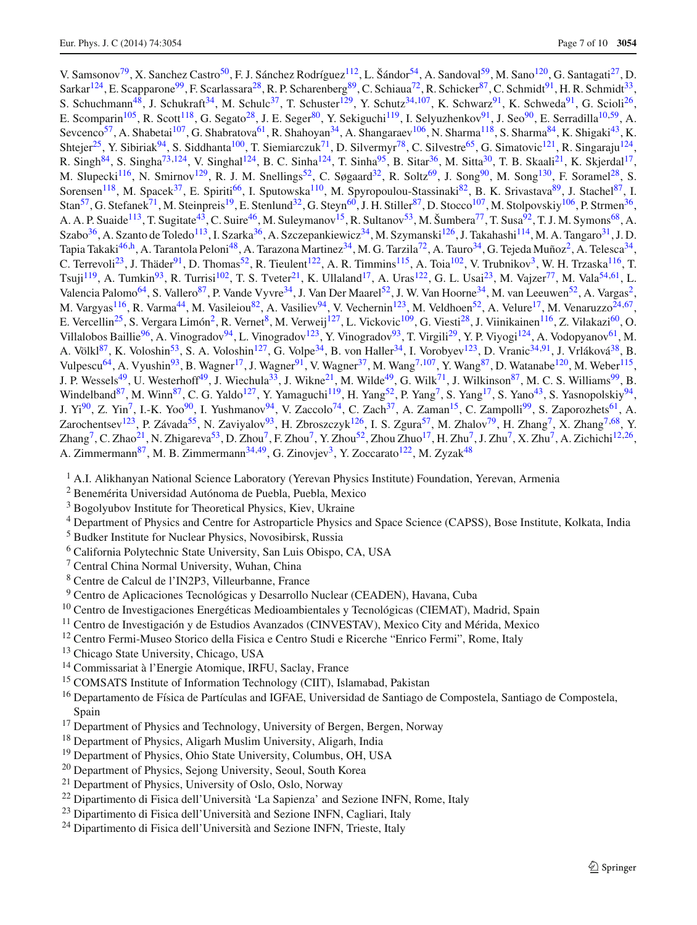V. Samsonov<sup>79</sup>, X. Sanchez Castro<sup>50</sup>, F. J. Sánchez Rodríguez<sup>112</sup>, L. Šándor<sup>54</sup>, A. Sandoval<sup>59</sup>, M. Sano<sup>120</sup>, G. Santagati<sup>27</sup>, D. Sarkar<sup>124</sup>, E. Scapparone<sup>99</sup>, F. Scarlassara<sup>28</sup>, R. P. Scharenberg<sup>89</sup>, C. Schiaua<sup>72</sup>, R. Schicker<sup>87</sup>, C. Schmidt<sup>91</sup>, H. R. Schmidt<sup>33</sup>, S. Schuchmann<sup>48</sup>, J. Schukraft<sup>34</sup>, M. Schulc<sup>37</sup>, T. Schuster<sup>129</sup>, Y. Schutz<sup>34,107</sup>, K. Schwarz<sup>91</sup>, K. Schweda<sup>91</sup>, G. Scioli<sup>26</sup>, E. Scomparin<sup>105</sup>, R. Scott<sup>118</sup>, G. Segato<sup>28</sup>, J. E. Seger<sup>80</sup>, Y. Sekiguchi<sup>119</sup>, I. Selyuzhenkov<sup>91</sup>, J. Seo<sup>90</sup>, E. Serradilla<sup>10,59</sup>, A. Sevcenco<sup>57</sup>, A. Shabetai<sup>107</sup>, G. Shabratova<sup>61</sup>, R. Shahoyan<sup>34</sup>, A. Shangaraev<sup>106</sup>, N. Sharma<sup>118</sup>, S. Sharma<sup>84</sup>, K. Shigaki<sup>43</sup>, K. Shtejer<sup>25</sup>, Y. Sibiriak<sup>94</sup>, S. Siddhanta<sup>100</sup>, T. Siemiarczuk<sup>71</sup>, D. Silvermyr<sup>78</sup>, C. Silvestre<sup>65</sup>, G. Simatovic<sup>121</sup>, R. Singaraju<sup>124</sup>, R. Singh<sup>84</sup>, S. Singha<sup>73,124</sup>, V. Singhal<sup>124</sup>, B. C. Sinha<sup>124</sup>, T. Sinha<sup>95</sup>, B. Sitar<sup>36</sup>, M. Sitta<sup>30</sup>, T. B. Skaali<sup>21</sup>, K. Skjerdal<sup>17</sup>, M. Slupecki<sup>116</sup>, N. Smirnov<sup>129</sup>, R. J. M. Snellings<sup>52</sup>, C. Søgaard<sup>32</sup>, R. Soltz<sup>69</sup>, J. Song<sup>90</sup>, M. Song<sup>130</sup>, F. Soramel<sup>28</sup>, S. Sorensen<sup>118</sup>, M. Spacek<sup>37</sup>, E. Spiriti<sup>66</sup>, I. Sputowska<sup>110</sup>, M. Spyropoulou-Stassinaki<sup>82</sup>, B. K. Srivastava<sup>89</sup>, J. Stachel<sup>87</sup>, I. Stan<sup>57</sup>, G. Stefanek<sup>71</sup>, M. Steinpreis<sup>19</sup>, E. Stenlund<sup>32</sup>, G. Steyn<sup>60</sup>, J. H. Stiller<sup>87</sup>, D. Stocco<sup>107</sup>, M. Stolpovskiy<sup>106</sup>, P. Strmen<sup>36</sup>, A. A. P. Suaide<sup>113</sup>, T. Sugitate<sup>43</sup>, C. Suire<sup>46</sup>, M. Suleymanov<sup>15</sup>, R. Sultanov<sup>53</sup>, M. Šumbera<sup>77</sup>, T. Susa<sup>92</sup>, T. J. M. Symons<sup>68</sup>, A. Szabo<sup>36</sup>, A. Szanto de Toledo<sup>113</sup>, I. Szarka<sup>36</sup>, A. Szczepankiewicz<sup>34</sup>, M. Szymanski<sup>126</sup>, J. Takahashi<sup>114</sup>, M. A. Tangaro<sup>31</sup>, J. D. Tapia Takaki<sup>46,h</sup>, A. Tarantola Peloni<sup>48</sup>, A. Tarazona Martinez<sup>34</sup>, M. G. Tarzila<sup>72</sup>, A. Tauro<sup>34</sup>, G. Tejeda Muñoz<sup>2</sup>, A. Telesca<sup>34</sup>, C. Terrevoli<sup>23</sup>, J. Thäder<sup>91</sup>, D. Thomas<sup>52</sup>, R. Tieulent<sup>122</sup>, A. R. Timmins<sup>115</sup>, A. Toia<sup>102</sup>, V. Trubnikov<sup>3</sup>, W. H. Trzaska<sup>116</sup>, T. Tsuji<sup>119</sup>, A. Tumkin<sup>93</sup>, R. Turrisi<sup>102</sup>, T. S. Tveter<sup>21</sup>, K. Ullaland<sup>17</sup>, A. Uras<sup>122</sup>, G. L. Usai<sup>23</sup>, M. Vajzer<sup>77</sup>, M. Vala<sup>54,61</sup>, L. Valencia Palomo<sup>64</sup>, S. Vallero<sup>87</sup>, P. Vande Vyvre<sup>34</sup>, J. Van Der Maarel<sup>52</sup>, J. W. Van Hoorne<sup>34</sup>, M. van Leeuwen<sup>52</sup>, A. Vargas<sup>2</sup>, M. Vargyas<sup>116</sup>, R. Varma<sup>44</sup>, M. Vasileiou<sup>82</sup>, A. Vasiliev<sup>94</sup>, V. Vechernin<sup>123</sup>, M. Veldhoen<sup>52</sup>, A. Velure<sup>17</sup>, M. Venaruzzo<sup>24,67</sup>, E. Vercellin<sup>25</sup>, S. Vergara Limón<sup>2</sup>, R. Vernet<sup>8</sup>, M. Verweij<sup>127</sup>, L. Vickovic<sup>109</sup>, G. Viesti<sup>28</sup>, J. Viinikainen<sup>116</sup>, Z. Vilakazi<sup>60</sup>, O. Villalobos Baillie<sup>96</sup>, A. Vinogradov<sup>94</sup>, L. Vinogradov<sup>123</sup>, Y. Vinogradov<sup>93</sup>, T. Virgili<sup>29</sup>, Y. P. Viyogi<sup>124</sup>, A. Vodopyanov<sup>61</sup>, M. A. Völkl<sup>87</sup>, K. Voloshin<sup>53</sup>, S. A. Voloshin<sup>127</sup>, G. Volpe<sup>34</sup>, B. von Haller<sup>34</sup>, I. Vorobyev<sup>123</sup>, D. Vranic<sup>34,91</sup>, J. Vrláková<sup>38</sup>, B. Vulpescu<sup>64</sup>, A. Vyushin<sup>93</sup>, B. Wagner<sup>17</sup>, J. Wagner<sup>91</sup>, V. Wagner<sup>37</sup>, M. Wang<sup>7,107</sup>, Y. Wang<sup>87</sup>, D. Watanabe<sup>120</sup>, M. Weber<sup>115</sup>, J. P. Wessels<sup>49</sup>, U. Westerhoff<sup>49</sup>, J. Wiechula<sup>33</sup>, J. Wikne<sup>21</sup>, M. Wilde<sup>49</sup>, G. Wilk<sup>71</sup>, J. Wilkinson<sup>87</sup>, M. C. S. Williams<sup>99</sup>, B. Windelband<sup>87</sup>, M. Winn<sup>87</sup>, C. G. Yaldo<sup>127</sup>, Y. Yamaguchi<sup>119</sup>, H. Yang<sup>52</sup>, P. Yang<sup>7</sup>, S. Yang<sup>17</sup>, S. Yano<sup>43</sup>, S. Yasnopolskiy<sup>94</sup>, J.  $Y_1^{90}$ , Z. Yin<sup>7</sup>, I.-K. Yoo<sup>90</sup>, I. Yushmanov<sup>94</sup>, V. Zaccolo<sup>74</sup>, C. Zach<sup>37</sup>, A. Zaman<sup>15</sup>, C. Zampolli<sup>99</sup>, S. Zaporozhets<sup>61</sup>, A. Zarochentsev<sup>123</sup>, P. Závada<sup>55</sup>, N. Zaviyalov<sup>93</sup>, H. Zbroszczyk<sup>126</sup>, I. S. Zgura<sup>57</sup>, M. Zhalov<sup>79</sup>, H. Zhang<sup>7</sup>, X. Zhang<sup>7,68</sup>, Y.  $\sum \text{Kapq}^7$ , C. Zhao<sup>21</sup>, N. Zhigareva<sup>53</sup>, D. Zhou<sup>7</sup>, F. Zhou<sup>7</sup>, Y. Zhou<sup>52</sup>, Zhou Zhuo<sup>17</sup>, H. Zhu<sup>7</sup>, J. Zhu<sup>7</sup>, X. Zhu<sup>7</sup>, A. Zichichi<sup>12,26</sup>, A. Zimmermann<sup>87</sup>, M. B. Zimmermann<sup>34,49</sup>, G. Zinovjev<sup>3</sup>, Y. Zoccarato<sup>122</sup>, M. Zyzak<sup>48</sup>

- <sup>1</sup> A.I. Alikhanyan National Science Laboratory (Yerevan Physics Institute) Foundation, Yerevan, Armenia
- <span id="page-6-15"></span><span id="page-6-3"></span><sup>2</sup> Benemérita Universidad Autónoma de Puebla, Puebla, Mexico
- <sup>3</sup> Bogolyubov Institute for Theoretical Physics, Kiev, Ukraine
- <span id="page-6-22"></span><span id="page-6-20"></span><span id="page-6-16"></span><sup>4</sup> Department of Physics and Centre for Astroparticle Physics and Space Science (CAPSS), Bose Institute, Kolkata, India
- <sup>5</sup> Budker Institute for Nuclear Physics, Novosibirsk, Russia
- <span id="page-6-10"></span><sup>6</sup> California Polytechnic State University, San Luis Obispo, CA, USA
- <span id="page-6-23"></span><sup>7</sup> Central China Normal University, Wuhan, China
- <span id="page-6-13"></span><span id="page-6-9"></span><sup>8</sup> Centre de Calcul de l'IN2P3, Villeurbanne, France
- <span id="page-6-18"></span><span id="page-6-14"></span><span id="page-6-2"></span><sup>9</sup> Centro de Aplicaciones Tecnológicas y Desarrollo Nuclear (CEADEN), Havana, Cuba
- <sup>10</sup> Centro de Investigaciones Energéticas Medioambientales y Tecnológicas (CIEMAT), Madrid, Spain
- <sup>11</sup> Centro de Investigación y de Estudios Avanzados (CINVESTAV), Mexico City and Mérida, Mexico
- <sup>12</sup> Centro Fermi-Museo Storico della Fisica e Centro Studi e Ricerche "Enrico Fermi", Rome, Italy
- <span id="page-6-6"></span><sup>13</sup> Chicago State University, Chicago, USA
- <span id="page-6-1"></span><sup>14</sup> Commissariat à l'Energie Atomique, IRFU, Saclay, France
- <span id="page-6-5"></span><sup>15</sup> COMSATS Institute of Information Technology (CIIT), Islamabad, Pakistan
- <sup>16</sup> Departamento de Física de Partículas and IGFAE, Universidad de Santiago de Compostela, Santiago de Compostela, Spain
- <span id="page-6-4"></span><span id="page-6-0"></span><sup>17</sup> Department of Physics and Technology, University of Bergen, Bergen, Norway
- <span id="page-6-17"></span><sup>18</sup> Department of Physics, Aligarh Muslim University, Aligarh, India
- <span id="page-6-19"></span><span id="page-6-7"></span><sup>19</sup> Department of Physics, Ohio State University, Columbus, OH, USA
- <span id="page-6-21"></span><sup>20</sup> Department of Physics, Sejong University, Seoul, South Korea
- <sup>21</sup> Department of Physics, University of Oslo, Oslo, Norway
- <sup>22</sup> Dipartimento di Fisica dell'Università 'La Sapienza' and Sezione INFN, Rome, Italy
- <span id="page-6-12"></span><span id="page-6-11"></span><span id="page-6-8"></span> $^{23}$  Dipartimento di Fisica dell'Università and Sezione INFN, Cagliari, Italy
- <sup>24</sup> Dipartimento di Fisica dell'Università and Sezione INFN, Trieste, Italy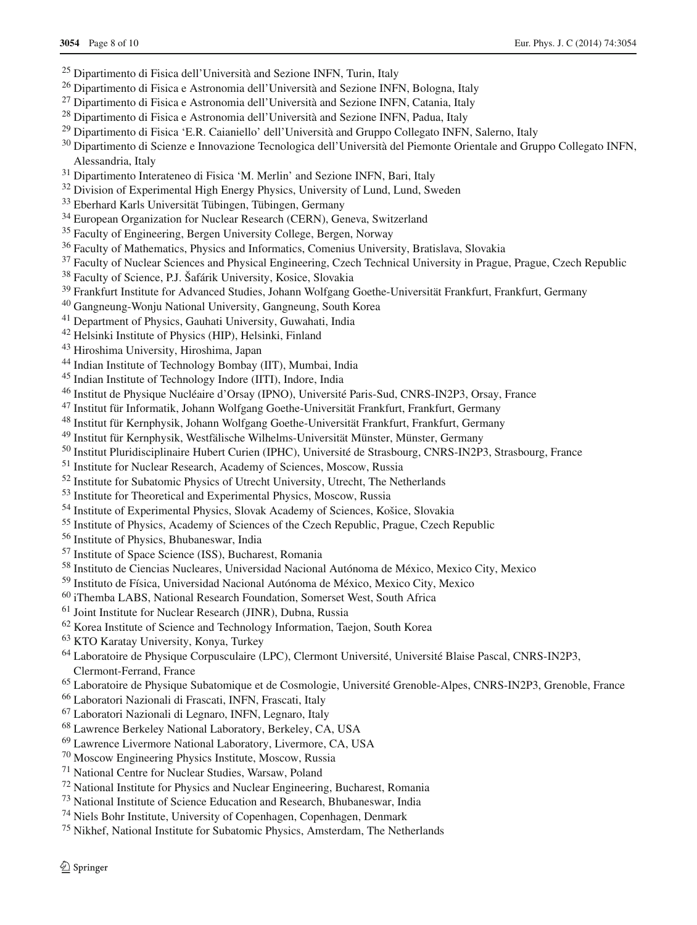- <span id="page-7-2"></span>Dipartimento di Fisica dell'Università and Sezione INFN, Turin, Italy
- <span id="page-7-15"></span>Dipartimento di Fisica e Astronomia dell'Università and Sezione INFN, Bologna, Italy
- <span id="page-7-30"></span>Dipartimento di Fisica e Astronomia dell'Università and Sezione INFN, Catania, Italy
- <span id="page-7-38"></span>Dipartimento di Fisica e Astronomia dell'Università and Sezione INFN, Padua, Italy
- <span id="page-7-34"></span>Dipartimento di Fisica 'E.R. Caianiello' dell'Università and Gruppo Collegato INFN, Salerno, Italy
- <span id="page-7-16"></span><sup>30</sup> Dipartimento di Scienze e Innovazione Tecnologica dell'Università del Piemonte Orientale and Gruppo Collegato INFN. Alessandria, Italy
- <span id="page-7-31"></span>Dipartimento Interateneo di Fisica 'M. Merlin' and Sezione INFN, Bari, Italy
- <span id="page-7-41"></span><sup>32</sup> Division of Experimental High Energy Physics, University of Lund, Lund, Sweden
- <span id="page-7-11"></span>Eberhard Karls Universität Tübingen, Tübingen, Germany
- <span id="page-7-6"></span><sup>34</sup> European Organization for Nuclear Research (CERN), Geneva, Switzerland
- <span id="page-7-46"></span><sup>35</sup> Faculty of Engineering, Bergen University College, Bergen, Norway
- <span id="page-7-1"></span>Faculty of Mathematics, Physics and Informatics, Comenius University, Bratislava, Slovakia
- <span id="page-7-26"></span><sup>37</sup> Faculty of Nuclear Sciences and Physical Engineering, Czech Technical University in Prague, Prague, Czech Republic
- <span id="page-7-7"></span>Faculty of Science, P.J. Šafárik University, Kosice, Slovakia
- <span id="page-7-12"></span>Frankfurt Institute for Advanced Studies, Johann Wolfgang Goethe-Universität Frankfurt, Frankfurt, Germany
- <span id="page-7-23"></span>Gangneung-Wonju National University, Gangneung, South Korea
- <span id="page-7-39"></span>Department of Physics, Gauhati University, Guwahati, India
- <span id="page-7-50"></span>Helsinki Institute of Physics (HIP), Helsinki, Finland
- <span id="page-7-3"></span>Hiroshima University, Hiroshima, Japan
- <span id="page-7-47"></span>Indian Institute of Technology Bombay (IIT), Mumbai, India
- <span id="page-7-33"></span>Indian Institute of Technology Indore (IITI), Indore, India
- <span id="page-7-29"></span>Institut de Physique Nucléaire d'Orsay (IPNO), Université Paris-Sud, CNRS-IN2P3, Orsay, France
- <span id="page-7-10"></span>Institut für Informatik, Johann Wolfgang Goethe-Universität Frankfurt, Frankfurt, Germany
- <span id="page-7-9"></span>Institut für Kernphysik, Johann Wolfgang Goethe-Universität Frankfurt, Frankfurt, Germany
- <span id="page-7-19"></span>Institut für Kernphysik, Westfälische Wilhelms-Universität Münster, Münster, Germany
- <span id="page-7-40"></span>Institut Pluridisciplinaire Hubert Curien (IPHC), Université de Strasbourg, CNRS-IN2P3, Strasbourg, France
- <span id="page-7-22"></span>Institute for Nuclear Research, Academy of Sciences, Moscow, Russia
- <span id="page-7-5"></span>Institute for Subatomic Physics of Utrecht University, Utrecht, The Netherlands
- <span id="page-7-43"></span>Institute for Theoretical and Experimental Physics, Moscow, Russia
- <span id="page-7-42"></span>Institute of Experimental Physics, Slovak Academy of Sciences, Košice, Slovakia
- <span id="page-7-14"></span>Institute of Physics, Academy of Sciences of the Czech Republic, Prague, Czech Republic
- <span id="page-7-36"></span>Institute of Physics, Bhubaneswar, India
- <span id="page-7-35"></span>Institute of Space Science (ISS), Bucharest, Romania
- <span id="page-7-20"></span>Instituto de Ciencias Nucleares, Universidad Nacional Autónoma de México, Mexico City, Mexico
- <span id="page-7-27"></span>Instituto de Física, Universidad Nacional Autónoma de México, Mexico City, Mexico
- <span id="page-7-17"></span>iThemba LABS, National Research Foundation, Somerset West, South Africa
- <span id="page-7-4"></span>Joint Institute for Nuclear Research (JINR), Dubna, Russia
- <span id="page-7-44"></span>Korea Institute of Science and Technology Information, Taejon, South Korea
- <span id="page-7-13"></span>KTO Karatay University, Konya, Turkey
- Laboratoire de Physique Corpusculaire (LPC), Clermont Université, Université Blaise Pascal, CNRS-IN2P3, Clermont-Ferrand, France
- <span id="page-7-32"></span><span id="page-7-24"></span>Laboratoire de Physique Subatomique et de Cosmologie, Université Grenoble-Alpes, CNRS-IN2P3, Grenoble, France
- <span id="page-7-49"></span>Laboratori Nazionali di Frascati, INFN, Frascati, Italy
- <span id="page-7-25"></span>Laboratori Nazionali di Legnaro, INFN, Legnaro, Italy
- <span id="page-7-0"></span>Lawrence Berkeley National Laboratory, Berkeley, CA, USA
- <span id="page-7-21"></span>Lawrence Livermore National Laboratory, Livermore, CA, USA
- <span id="page-7-37"></span>Moscow Engineering Physics Institute, Moscow, Russia
- <span id="page-7-8"></span>National Centre for Nuclear Studies, Warsaw, Poland
- <span id="page-7-48"></span>National Institute for Physics and Nuclear Engineering, Bucharest, Romania
- <span id="page-7-18"></span>National Institute of Science Education and Research, Bhubaneswar, India
- <span id="page-7-28"></span>Niels Bohr Institute, University of Copenhagen, Copenhagen, Denmark
- <span id="page-7-45"></span>Nikhef, National Institute for Subatomic Physics, Amsterdam, The Netherlands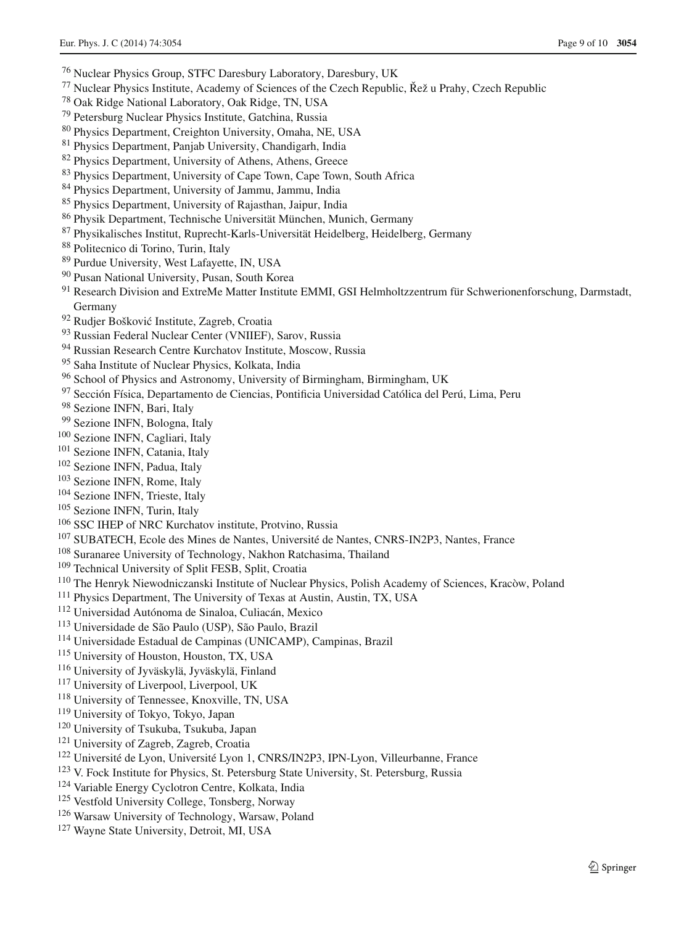- <span id="page-8-0"></span>Nuclear Physics Group, STFC Daresbury Laboratory, Daresbury, UK
- <span id="page-8-15"></span>77 Nuclear Physics Institute, Academy of Sciences of the Czech Republic, Řež u Prahy, Czech Republic
- <span id="page-8-23"></span>Oak Ridge National Laboratory, Oak Ridge, TN, USA
- <span id="page-8-33"></span>Petersburg Nuclear Physics Institute, Gatchina, Russia
- <span id="page-8-1"></span>Physics Department, Creighton University, Omaha, NE, USA
- <span id="page-8-40"></span>Physics Department, Panjab University, Chandigarh, India
- <span id="page-8-16"></span>Physics Department, University of Athens, Athens, Greece
- <span id="page-8-18"></span>Physics Department, University of Cape Town, Cape Town, South Africa
- <span id="page-8-51"></span>Physics Department, University of Jammu, Jammu, India
- <span id="page-8-24"></span>Physics Department, University of Rajasthan, Jaipur, India
- <span id="page-8-11"></span>Physik Department, Technische Universität München, Munich, Germany
- <span id="page-8-2"></span>Physikalisches Institut, Ruprecht-Karls-Universität Heidelberg, Heidelberg, Germany
- <span id="page-8-28"></span>Politecnico di Torino, Turin, Italy
- <span id="page-8-27"></span>Purdue University, West Lafayette, IN, USA
- <span id="page-8-10"></span>Pusan National University, Pusan, South Korea
- <span id="page-8-12"></span><sup>91</sup> Research Division and ExtreMe Matter Institute EMMI, GSI Helmholtzzentrum für Schwerionenforschung, Darmstadt, Germany
- <sup>92</sup> Rudjer Bošković Institute, Zagreb, Croatia
- <span id="page-8-29"></span><span id="page-8-5"></span>Russian Federal Nuclear Center (VNIIEF), Sarov, Russia
- <span id="page-8-32"></span>Russian Research Centre Kurchatov Institute, Moscow, Russia
- <span id="page-8-6"></span>Saha Institute of Nuclear Physics, Kolkata, India
- <span id="page-8-30"></span>School of Physics and Astronomy, University of Birmingham, Birmingham, UK
- <span id="page-8-37"></span>Sección Física, Departamento de Ciencias, Pontificia Universidad Católica del Perú, Lima, Peru
- <span id="page-8-7"></span>Sezione INFN, Bari, Italy
- <span id="page-8-35"></span><span id="page-8-17"></span>Sezione INFN, Bologna, Italy
- Sezione INFN, Cagliari, Italy
- <span id="page-8-13"></span>Sezione INFN, Catania, Italy
- <span id="page-8-38"></span>Sezione INFN, Padua, Italy
- <span id="page-8-41"></span>Sezione INFN, Rome, Italy
- <span id="page-8-3"></span>Sezione INFN, Trieste, Italy
- <span id="page-8-26"></span>Sezione INFN, Turin, Italy
- SSC IHEP of NRC Kurchatov institute, Protvino, Russia
- <span id="page-8-46"></span><span id="page-8-14"></span>SUBATECH, Ecole des Mines de Nantes, Université de Nantes, CNRS-IN2P3, Nantes, France
- <span id="page-8-42"></span>Suranaree University of Technology, Nakhon Ratchasima, Thailand
- <span id="page-8-20"></span>Technical University of Split FESB, Split, Croatia
- The Henryk Niewodniczanski Institute of Nuclear Physics, Polish Academy of Sciences, Kracòw, Poland
- <span id="page-8-48"></span><span id="page-8-45"></span>Physics Department, The University of Texas at Austin, Austin, TX, USA
- <span id="page-8-36"></span><span id="page-8-9"></span>Universidad Autónoma de Sinaloa, Culiacán, Mexico
- Universidade de São Paulo (USP), São Paulo, Brazil
- <span id="page-8-21"></span>Universidade Estadual de Campinas (UNICAMP), Campinas, Brazil
- University of Houston, Houston, TX, USA
- <span id="page-8-39"></span><span id="page-8-31"></span>University of Jyväskylä, Jyväskylä, Finland
- <span id="page-8-49"></span>University of Liverpool, Liverpool, UK
- <span id="page-8-44"></span>University of Tennessee, Knoxville, TN, USA
- <span id="page-8-25"></span>University of Tokyo, Tokyo, Japan
- <span id="page-8-50"></span>University of Tsukuba, Tsukuba, Japan
- <span id="page-8-34"></span>University of Zagreb, Zagreb, Croatia
- Université de Lyon, Université Lyon 1, CNRS/IN2P3, IPN-Lyon, Villeurbanne, France
- <span id="page-8-8"></span><span id="page-8-4"></span>V. Fock Institute for Physics, St. Petersburg State University, St. Petersburg, Russia
- Variable Energy Cyclotron Centre, Kolkata, India
- <span id="page-8-47"></span><span id="page-8-43"></span>Vestfold University College, Tonsberg, Norway
- <span id="page-8-22"></span>Warsaw University of Technology, Warsaw, Poland
- <span id="page-8-19"></span>Wayne State University, Detroit, MI, USA